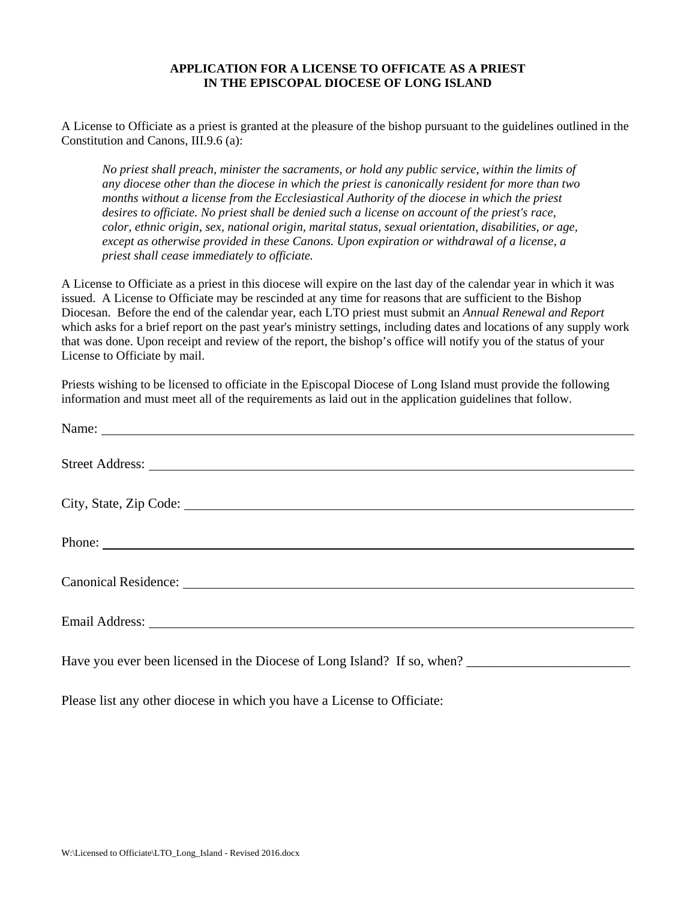## **APPLICATION FOR A LICENSE TO OFFICATE AS A PRIEST IN THE EPISCOPAL DIOCESE OF LONG ISLAND**

A License to Officiate as a priest is granted at the pleasure of the bishop pursuant to the guidelines outlined in the Constitution and Canons, III.9.6 (a):

*No priest shall preach, minister the sacraments, or hold any public service, within the limits of any diocese other than the diocese in which the priest is canonically resident for more than two months without a license from the Ecclesiastical Authority of the diocese in which the priest desires to officiate. No priest shall be denied such a license on account of the priest's race, color, ethnic origin, sex, national origin, marital status, sexual orientation, disabilities, or age, except as otherwise provided in these Canons. Upon expiration or withdrawal of a license, a priest shall cease immediately to officiate.* 

A License to Officiate as a priest in this diocese will expire on the last day of the calendar year in which it was issued. A License to Officiate may be rescinded at any time for reasons that are sufficient to the Bishop Diocesan. Before the end of the calendar year, each LTO priest must submit an *Annual Renewal and Report* which asks for a brief report on the past year's ministry settings, including dates and locations of any supply work that was done. Upon receipt and review of the report, the bishop's office will notify you of the status of your License to Officiate by mail.

Priests wishing to be licensed to officiate in the Episcopal Diocese of Long Island must provide the following information and must meet all of the requirements as laid out in the application guidelines that follow.

Please list any other diocese in which you have a License to Officiate: